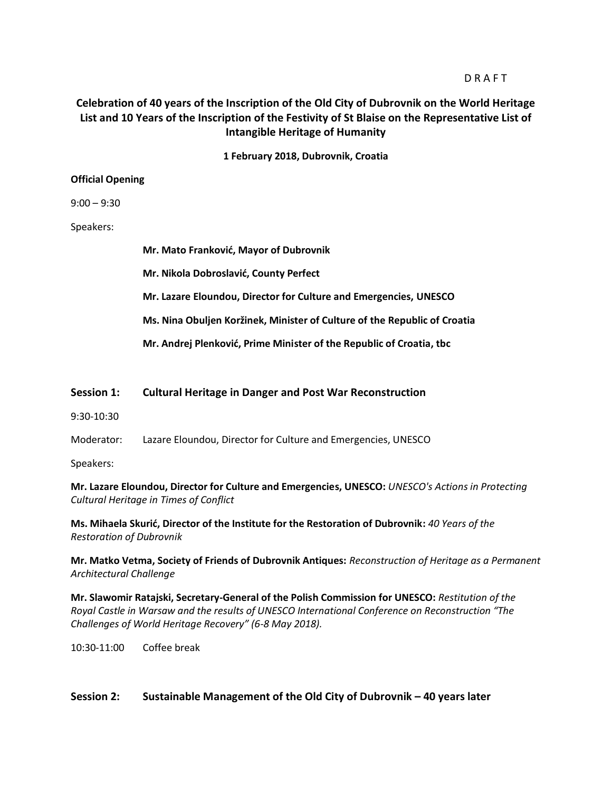## **D R A F T**

# **Celebration of 40 years of the Inscription of the Old City of Dubrovnik on the World Heritage List and 10 Years of the Inscription of the Festivity of St Blaise on the Representative List of Intangible Heritage of Humanity**

**1 February 2018, Dubrovnik, Croatia**

#### **Official Opening**

#### 9:00 – 9:30

#### Speakers:

**Mr. Mato Franković, Mayor of Dubrovnik Mr. Nikola Dobroslavić, County Perfect Mr. Lazare Eloundou, Director for Culture and Emergencies, UNESCO Ms. Nina Obuljen Koržinek, Minister of Culture of the Republic of Croatia Mr. Andrej Plenković, Prime Minister of the Republic of Croatia, tbc**

### **Session 1: Cultural Heritage in Danger and Post War Reconstruction**

- 9:30-10:30
- Moderator: Lazare Eloundou, Director for Culture and Emergencies, UNESCO
- Speakers:

**Mr. Lazare Eloundou, Director for Culture and Emergencies, UNESCO:** *UNESCO's Actions in Protecting Cultural Heritage in Times of Conflict*

**Ms. Mihaela Skurić, Director of the Institute for the Restoration of Dubrovnik:** *40 Years of the Restoration of Dubrovnik*

**Mr. Matko Vetma, Society of Friends of Dubrovnik Antiques:** *Reconstruction of Heritage as a Permanent Architectural Challenge* 

**Mr. Slawomir Ratajski, Secretary-General of the Polish Commission for UNESCO:** *Restitution of the Royal Castle in Warsaw and the results of UNESCO International Conference on Reconstruction "The Challenges of World Heritage Recovery" (6-8 May 2018).*

10:30-11:00 Coffee break

## **Session 2: Sustainable Management of the Old City of Dubrovnik – 40 years later**